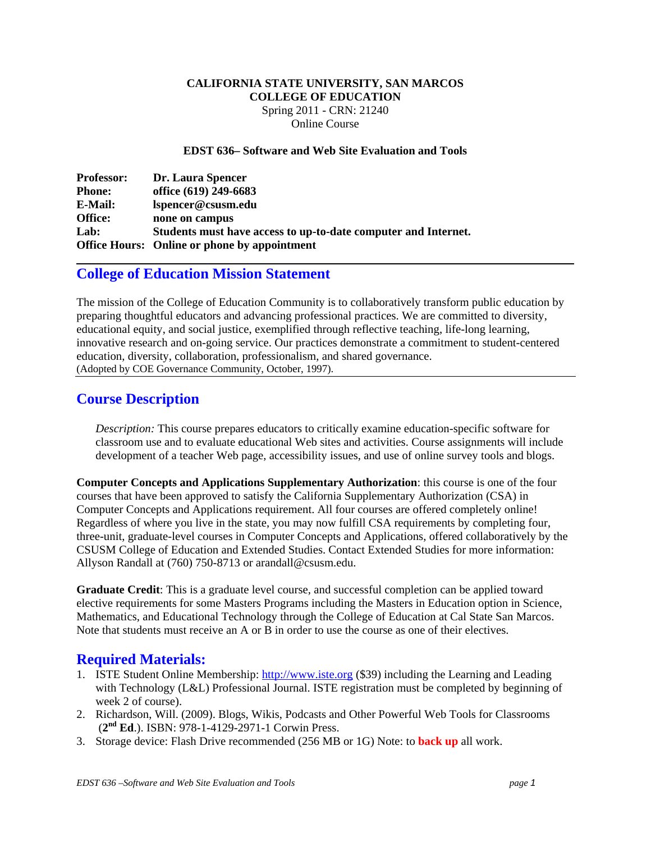#### **CALIFORNIA STATE UNIVERSITY, SAN MARCOS COLLEGE OF EDUCATION**  Spring 2011 - CRN: 21240 Online Course

**EDST 636– Software and Web Site Evaluation and Tools** 

| <b>Professor:</b> | Dr. Laura Spencer                                              |
|-------------------|----------------------------------------------------------------|
| <b>Phone:</b>     | office (619) 249-6683                                          |
| <b>E-Mail:</b>    | lspencer@csusm.edu                                             |
| <b>Office:</b>    | none on campus                                                 |
| Lab:              | Students must have access to up-to-date computer and Internet. |
|                   | <b>Office Hours:</b> Online or phone by appointment            |

# **College of Education Mission Statement**

 (Adopted by COE Governance Community, October, 1997). The mission of the College of Education Community is to collaboratively transform public education by preparing thoughtful educators and advancing professional practices. We are committed to diversity, educational equity, and social justice, exemplified through reflective teaching, life-long learning, innovative research and on-going service. Our practices demonstrate a commitment to student-centered education, diversity, collaboration, professionalism, and shared governance.

## **Course Description**

*Description:* This course prepares educators to critically examine education-specific software for classroom use and to evaluate educational Web sites and activities. Course assignments will include development of a teacher Web page, accessibility issues, and use of online survey tools and blogs.

**Computer Concepts and Applications Supplementary Authorization**: this course is one of the four courses that have been approved to satisfy the California Supplementary Authorization (CSA) in Computer Concepts and Applications requirement. All four courses are offered completely online! Regardless of where you live in the state, you may now fulfill CSA requirements by completing four, three-unit, graduate-level courses in Computer Concepts and Applications, offered collaboratively by the CSUSM College of Education and Extended Studies. Contact Extended Studies for more information: Allyson Randall at (760) 750-8713 or arandall@csusm.edu.

**Graduate Credit**: This is a graduate level course, and successful completion can be applied toward elective requirements for some Masters Programs including the Masters in Education option in Science, Mathematics, and Educational Technology through the College of Education at Cal State San Marcos. Note that students must receive an A or B in order to use the course as one of their electives.

# **Required Materials:**

- 1. ISTE Student Online Membership: http://www.iste.org (\$39) including the Learning and Leading with Technology (L&L) Professional Journal. ISTE registration must be completed by beginning of week 2 of course).
- 2. Richardson, Will. (2009). Blogs, Wikis, Podcasts and Other Powerful Web Tools for Classrooms (**2nd Ed**.). ISBN: 978-1-4129-2971-1 Corwin Press.
- 3. Storage device: Flash Drive recommended (256 MB or 1G) Note: to **back up** all work.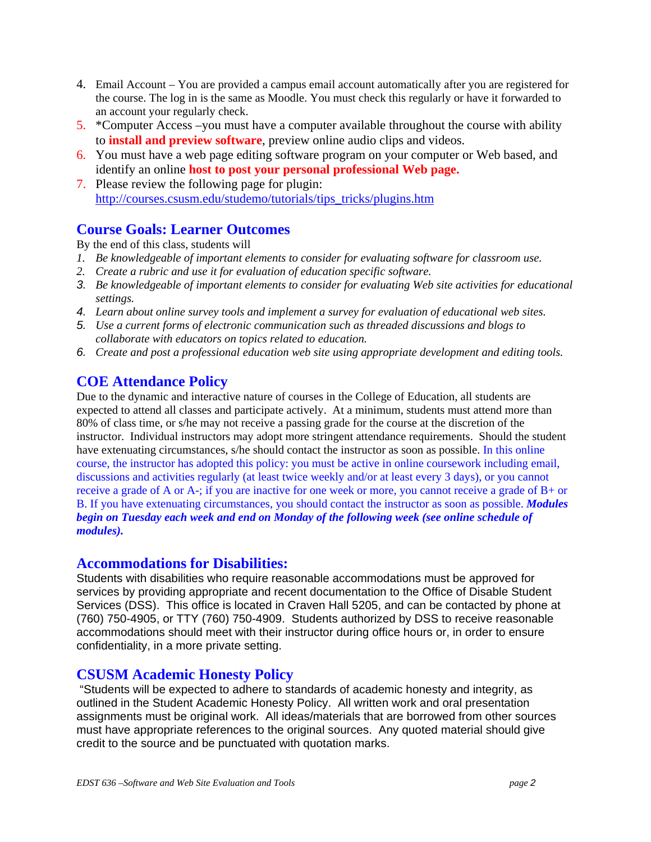- 4. Email Account You are provided a campus email account automatically after you are registered for the course. The log in is the same as Moodle. You must check this regularly or have it forwarded to an account your regularly check.
- 5. \*Computer Access –you must have a computer available throughout the course with ability to **install and preview software**, preview online audio clips and videos.
- 6. You must have a web page editing software program on your computer or Web based, and identify an online **host to post your personal professional Web page.**
- 7. Please review the following page for plugin: http://courses.csusm.edu/studemo/tutorials/tips\_tricks/plugins.htm

## **Course Goals: Learner Outcomes**

By the end of this class, students will

- *1. Be knowledgeable of important elements to consider for evaluating software for classroom use.*
- *2. Create a rubric and use it for evaluation of education specific software.*
- *3. Be knowledgeable of important elements to consider for evaluating Web site activities for educational settings.*
- *4. Learn about online survey tools and implement a survey for evaluation of educational web sites.*
- *5. Use a current forms of electronic communication such as threaded discussions and blogs to collaborate with educators on topics related to education.*
- *6. Create and post a professional education web site using appropriate development and editing tools.*

# **COE Attendance Policy**

Due to the dynamic and interactive nature of courses in the College of Education, all students are expected to attend all classes and participate actively. At a minimum, students must attend more than 80% of class time, or s/he may not receive a passing grade for the course at the discretion of the instructor. Individual instructors may adopt more stringent attendance requirements. Should the student have extenuating circumstances, s/he should contact the instructor as soon as possible. In this online course, the instructor has adopted this policy: you must be active in online coursework including email, discussions and activities regularly (at least twice weekly and/or at least every 3 days), or you cannot receive a grade of A or A-; if you are inactive for one week or more, you cannot receive a grade of B+ or B. If you have extenuating circumstances, you should contact the instructor as soon as possible. *Modules begin on Tuesday each week and end on Monday of the following week (see online schedule of modules).* 

#### **Accommodations for Disabilities:**

Students with disabilities who require reasonable accommodations must be approved for services by providing appropriate and recent documentation to the Office of Disable Student Services (DSS). This office is located in Craven Hall 5205, and can be contacted by phone at (760) 750-4905, or TTY (760) 750-4909. Students authorized by DSS to receive reasonable accommodations should meet with their instructor during office hours or, in order to ensure confidentiality, in a more private setting.

## **CSUSM Academic Honesty Policy**

 "Students will be expected to adhere to standards of academic honesty and integrity, as outlined in the Student Academic Honesty Policy. All written work and oral presentation assignments must be original work. All ideas/materials that are borrowed from other sources must have appropriate references to the original sources. Any quoted material should give credit to the source and be punctuated with quotation marks.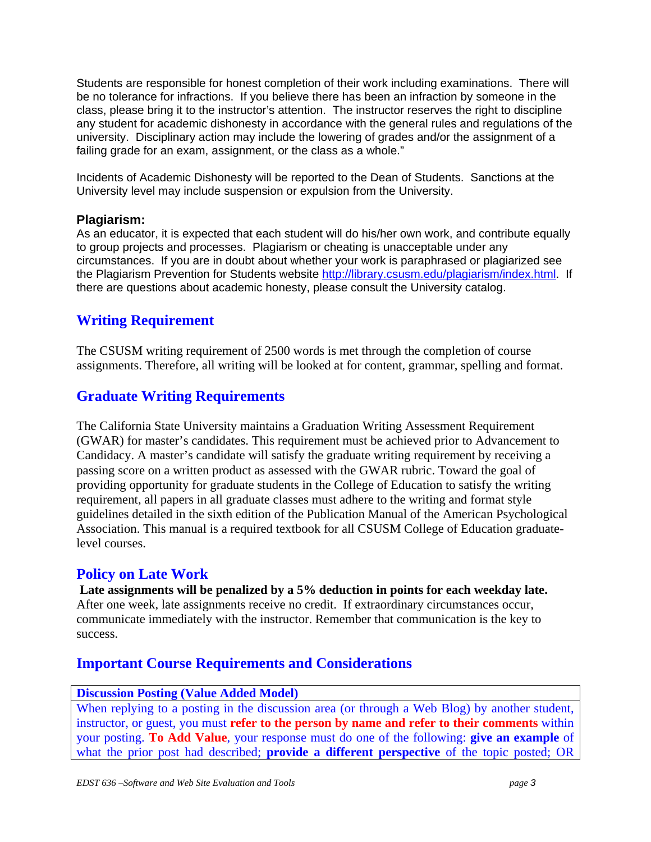Students are responsible for honest completion of their work including examinations. There will be no tolerance for infractions. If you believe there has been an infraction by someone in the class, please bring it to the instructor's attention. The instructor reserves the right to discipline any student for academic dishonesty in accordance with the general rules and regulations of the university. Disciplinary action may include the lowering of grades and/or the assignment of a failing grade for an exam, assignment, or the class as a whole."

Incidents of Academic Dishonesty will be reported to the Dean of Students. Sanctions at the University level may include suspension or expulsion from the University.

#### **Plagiarism:**

As an educator, it is expected that each student will do his/her own work, and contribute equally to group projects and processes. Plagiarism or cheating is unacceptable under any circumstances. If you are in doubt about whether your work is paraphrased or plagiarized see the Plagiarism Prevention for Students website http://library.csusm.edu/plagiarism/index.html. If there are questions about academic honesty, please consult the University catalog.

# **Writing Requirement**

The CSUSM writing requirement of 2500 words is met through the completion of course assignments. Therefore, all writing will be looked at for content, grammar, spelling and format.

# **Graduate Writing Requirements**

The California State University maintains a Graduation Writing Assessment Requirement (GWAR) for master's candidates. This requirement must be achieved prior to Advancement to Candidacy. A master's candidate will satisfy the graduate writing requirement by receiving a passing score on a written product as assessed with the GWAR rubric. Toward the goal of providing opportunity for graduate students in the College of Education to satisfy the writing requirement, all papers in all graduate classes must adhere to the writing and format style guidelines detailed in the sixth edition of the Publication Manual of the American Psychological Association. This manual is a required textbook for all CSUSM College of Education graduatelevel courses.

## **Policy on Late Work**

**Late assignments will be penalized by a 5% deduction in points for each weekday late.**  After one week, late assignments receive no credit. If extraordinary circumstances occur, communicate immediately with the instructor. Remember that communication is the key to success.

## **Important Course Requirements and Considerations**

#### **Discussion Posting (Value Added Model)**

When replying to a posting in the discussion area (or through a Web Blog) by another student, instructor, or guest, you must **refer to the person by name and refer to their comments** within your posting. **To Add Value**, your response must do one of the following: **give an example** of what the prior post had described; **provide a different perspective** of the topic posted; OR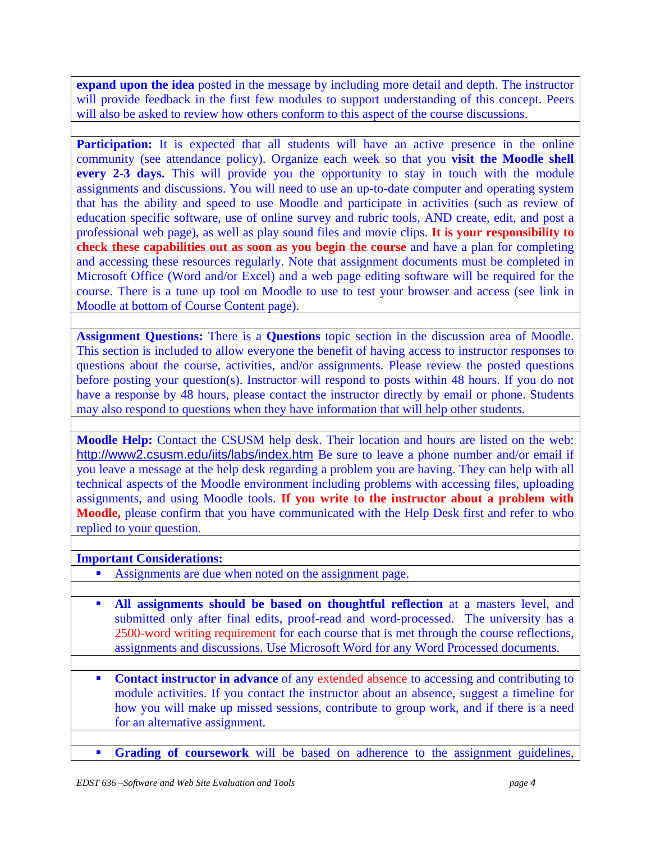**expand upon the idea** posted in the message by including more detail and depth. The instructor will provide feedback in the first few modules to support understanding of this concept. Peers will also be asked to review how others conform to this aspect of the course discussions.

**Participation:** It is expected that all students will have an active presence in the online community (see attendance policy). Organize each week so that you **visit the Moodle shell every 2-3 days.** This will provide you the opportunity to stay in touch with the module assignments and discussions. You will need to use an up-to-date computer and operating system that has the ability and speed to use Moodle and participate in activities (such as review of education specific software, use of online survey and rubric tools, AND create, edit, and post a professional web page), as well as play sound files and movie clips. **It is your responsibility to check these capabilities out as soon as you begin the course** and have a plan for completing and accessing these resources regularly. Note that assignment documents must be completed in Microsoft Office (Word and/or Excel) and a web page editing software will be required for the course. There is a tune up tool on Moodle to use to test your browser and access (see link in Moodle at bottom of Course Content page).

**Assignment Questions:** There is a **Questions** topic section in the discussion area of Moodle. This section is included to allow everyone the benefit of having access to instructor responses to questions about the course, activities, and/or assignments. Please review the posted questions before posting your question(s). Instructor will respond to posts within 48 hours. If you do not have a response by 48 hours, please contact the instructor directly by email or phone. Students may also respond to questions when they have information that will help other students.

**Moodle Help:** Contact the CSUSM help desk. Their location and hours are listed on the web: http://www2.csusm.edu/iits/labs/index.htm Be sure to leave a phone number and/or email if you leave a message at the help desk regarding a problem you are having. They can help with all technical aspects of the Moodle environment including problems with accessing files, uploading assignments, and using Moodle tools. **If you write to the instructor about a problem with Moodle,** please confirm that you have communicated with the Help Desk first and refer to who replied to your question.

#### **Important Considerations:**

- Assignments are due when noted on the assignment page.
- **All assignments should be based on thoughtful reflection** at a masters level, and submitted only after final edits, proof-read and word-processed. The university has a 2500-word writing requirement for each course that is met through the course reflections, assignments and discussions. Use Microsoft Word for any Word Processed documents.
- **Contact instructor in advance** of any extended absence to accessing and contributing to module activities. If you contact the instructor about an absence, suggest a timeline for how you will make up missed sessions, contribute to group work, and if there is a need for an alternative assignment.
	- Grading of coursework will be based on adherence to the assignment guidelines,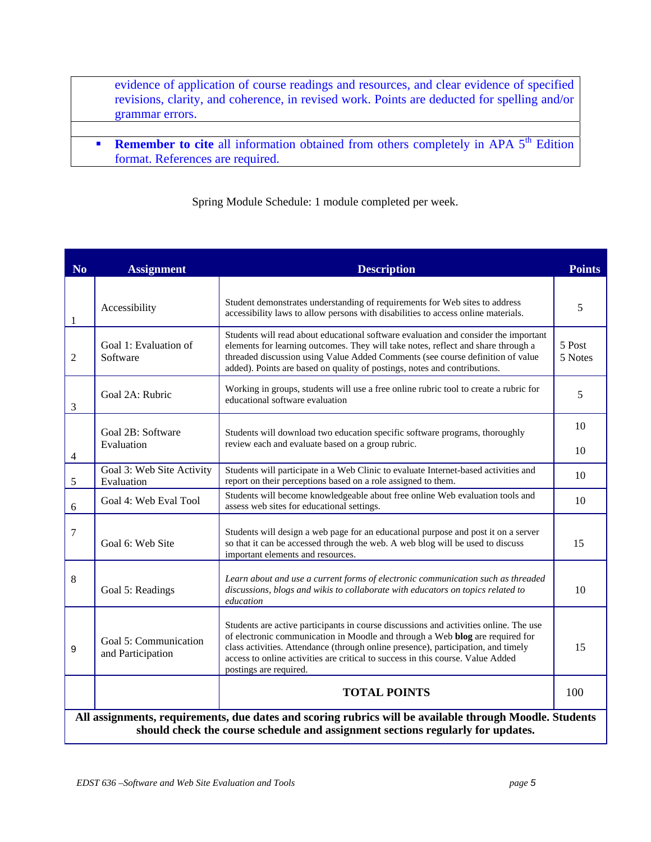evidence of application of course readings and resources, and clear evidence of specified revisions, clarity, and coherence, in revised work. Points are deducted for spelling and/or grammar errors.

**Remember to cite** all information obtained from others completely in APA 5<sup>th</sup> Edition format. References are required.

Spring Module Schedule: 1 module completed per week.

| N <sub>0</sub> | <b>Assignment</b>                                                                                                                                                                          | <b>Description</b>                                                                                                                                                                                                                                                                                                                                                       | <b>Points</b>     |  |  |
|----------------|--------------------------------------------------------------------------------------------------------------------------------------------------------------------------------------------|--------------------------------------------------------------------------------------------------------------------------------------------------------------------------------------------------------------------------------------------------------------------------------------------------------------------------------------------------------------------------|-------------------|--|--|
|                |                                                                                                                                                                                            | Student demonstrates understanding of requirements for Web sites to address                                                                                                                                                                                                                                                                                              |                   |  |  |
| 1              | Accessibility                                                                                                                                                                              | accessibility laws to allow persons with disabilities to access online materials.                                                                                                                                                                                                                                                                                        | 5                 |  |  |
| 2              | Goal 1: Evaluation of<br>Software                                                                                                                                                          | Students will read about educational software evaluation and consider the important<br>elements for learning outcomes. They will take notes, reflect and share through a<br>threaded discussion using Value Added Comments (see course definition of value<br>added). Points are based on quality of postings, notes and contributions.                                  | 5 Post<br>5 Notes |  |  |
| 3              | Goal 2A: Rubric                                                                                                                                                                            | Working in groups, students will use a free online rubric tool to create a rubric for<br>educational software evaluation                                                                                                                                                                                                                                                 | 5                 |  |  |
|                | Goal 2B: Software                                                                                                                                                                          | Students will download two education specific software programs, thoroughly<br>review each and evaluate based on a group rubric.                                                                                                                                                                                                                                         |                   |  |  |
| $\overline{4}$ | Evaluation                                                                                                                                                                                 |                                                                                                                                                                                                                                                                                                                                                                          |                   |  |  |
| $\sqrt{5}$     | Goal 3: Web Site Activity<br>Evaluation                                                                                                                                                    | Students will participate in a Web Clinic to evaluate Internet-based activities and<br>report on their perceptions based on a role assigned to them.                                                                                                                                                                                                                     | 10                |  |  |
| 6              | Goal 4: Web Eval Tool                                                                                                                                                                      | Students will become knowledgeable about free online Web evaluation tools and<br>assess web sites for educational settings.                                                                                                                                                                                                                                              | 10                |  |  |
| 7              | Goal 6: Web Site                                                                                                                                                                           | Students will design a web page for an educational purpose and post it on a server<br>so that it can be accessed through the web. A web blog will be used to discuss<br>important elements and resources.                                                                                                                                                                | 15                |  |  |
| 8              | Goal 5: Readings                                                                                                                                                                           | Learn about and use a current forms of electronic communication such as threaded<br>discussions, blogs and wikis to collaborate with educators on topics related to<br>education                                                                                                                                                                                         | 10                |  |  |
| 9              | Goal 5: Communication<br>and Participation                                                                                                                                                 | Students are active participants in course discussions and activities online. The use<br>of electronic communication in Moodle and through a Web blog are required for<br>class activities. Attendance (through online presence), participation, and timely<br>access to online activities are critical to success in this course. Value Added<br>postings are required. | 15                |  |  |
|                |                                                                                                                                                                                            | <b>TOTAL POINTS</b>                                                                                                                                                                                                                                                                                                                                                      | 100               |  |  |
|                | All assignments, requirements, due dates and scoring rubrics will be available through Moodle. Students<br>should check the course schedule and assignment sections regularly for updates. |                                                                                                                                                                                                                                                                                                                                                                          |                   |  |  |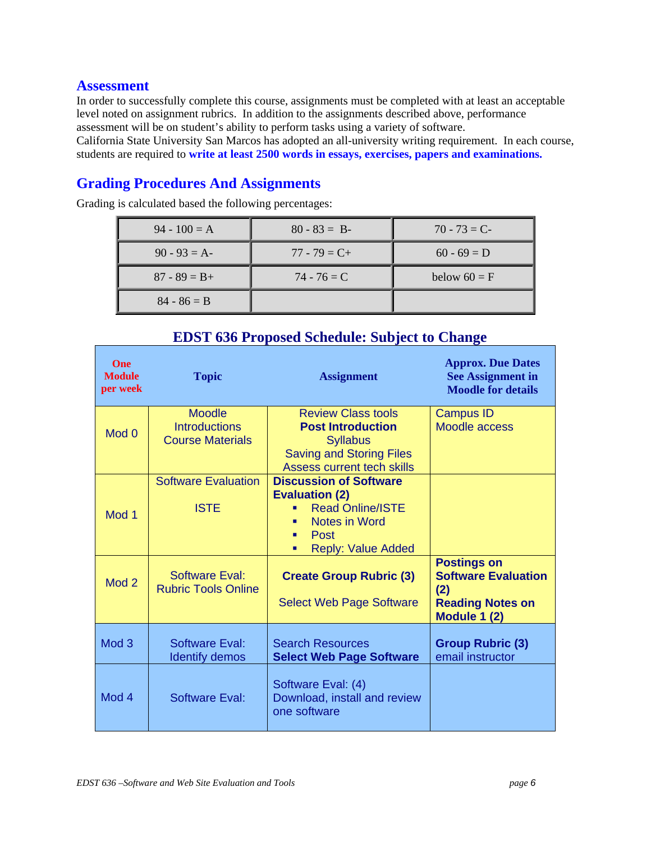#### **Assessment**

In order to successfully complete this course, assignments must be completed with at least an acceptable level noted on assignment rubrics. In addition to the assignments described above, performance assessment will be on student's ability to perform tasks using a variety of software.

California State University San Marcos has adopted an all-university writing requirement. In each course, students are required to **write at least 2500 words in essays, exercises, papers and examinations.**

# **Grading Procedures And Assignments**

Grading is calculated based the following percentages:

| $94 - 100 = A$  | $80 - 83 = B$   | $70 - 73 = C$  |
|-----------------|-----------------|----------------|
| $90 - 93 = A$   | $77 - 79 = C +$ | $60 - 69 = D$  |
| $87 - 89 = B +$ | $74 - 76 = C$   | below $60 = F$ |
| $84 - 86 = B$   |                 |                |

| <b>One</b><br><b>Module</b><br>per week | <b>Topic</b>                                                     | <b>Assignment</b>                                                                                                                                                  | <b>Approx. Due Dates</b><br><b>See Assignment in</b><br><b>Moodle for details</b>                  |
|-----------------------------------------|------------------------------------------------------------------|--------------------------------------------------------------------------------------------------------------------------------------------------------------------|----------------------------------------------------------------------------------------------------|
| Mod 0                                   | <b>Moodle</b><br><b>Introductions</b><br><b>Course Materials</b> | <b>Review Class tools</b><br><b>Post Introduction</b><br><b>Syllabus</b><br><b>Saving and Storing Files</b><br><b>Assess current tech skills</b>                   | <b>Campus ID</b><br><b>Moodle access</b>                                                           |
| Mod 1                                   | <b>Software Evaluation</b><br><b>ISTE</b>                        | <b>Discussion of Software</b><br><b>Evaluation (2)</b><br><b>Read Online/ISTE</b><br>٠<br><b>Notes in Word</b><br>٠<br>Post<br>٠<br><b>Reply: Value Added</b><br>٠ |                                                                                                    |
| Mod <sub>2</sub>                        | <b>Software Eval:</b><br><b>Rubric Tools Online</b>              | <b>Create Group Rubric (3)</b><br><b>Select Web Page Software</b>                                                                                                  | <b>Postings on</b><br><b>Software Evaluation</b><br>(2)<br><b>Reading Notes on</b><br>Module 1 (2) |
| Mod <sub>3</sub>                        | Software Eval:<br><b>Identify demos</b>                          | <b>Search Resources</b><br><b>Select Web Page Software</b>                                                                                                         | <b>Group Rubric (3)</b><br>email instructor                                                        |
| Mod 4                                   | Software Eval:                                                   | Software Eval: (4)<br>Download, install and review<br>one software                                                                                                 |                                                                                                    |

## **EDST 636 Proposed Schedule: Subject to Change**